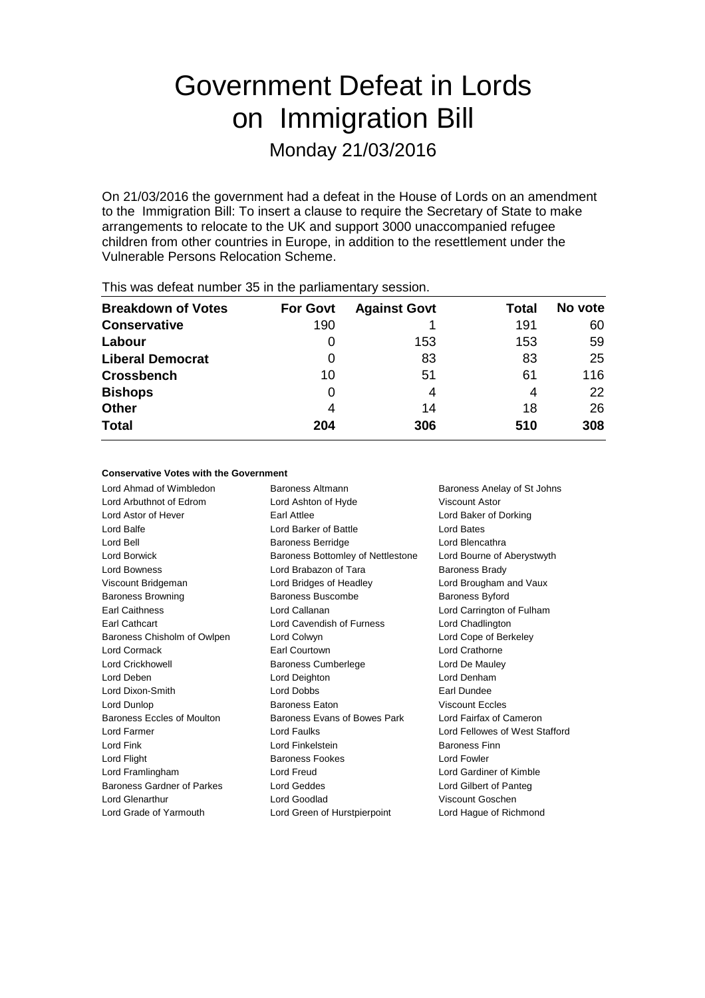# Government Defeat in Lords on Immigration Bill

Monday 21/03/2016

On 21/03/2016 the government had a defeat in the House of Lords on an amendment to the Immigration Bill: To insert a clause to require the Secretary of State to make arrangements to relocate to the UK and support 3000 unaccompanied refugee children from other countries in Europe, in addition to the resettlement under the Vulnerable Persons Relocation Scheme.

| <b>Breakdown of Votes</b> | <b>For Govt</b> | <b>Against Govt</b> | Total | No vote |
|---------------------------|-----------------|---------------------|-------|---------|
| <b>Conservative</b>       | 190             |                     | 191   | 60      |
| Labour                    | 0               | 153                 | 153   | 59      |
| <b>Liberal Democrat</b>   | 0               | 83                  | 83    | 25      |
| <b>Crossbench</b>         | 10              | 51                  | 61    | 116     |
| <b>Bishops</b>            | 0               | 4                   | 4     | 22      |
| <b>Other</b>              | 4               | 14                  | 18    | 26      |
| <b>Total</b>              | 204             | 306                 | 510   | 308     |
|                           |                 |                     |       |         |

This was defeat number 35 in the parliamentary session.

#### **Conservative Votes with the Government**

Lord Ahmad of Wimbledon Baroness Altmann Baroness Anelay of St Johns Lord Arbuthnot of Edrom Lord Ashton of Hyde Viscount Astor Lord Astor of Hever Earl Attlee Lord Baker of Dorking Lord Balfe **Lord Barker of Battle** Lord Bates **Lord Bates** Lord Bell **Baroness Berridge** Lord Blencathra Lord Borwick **Baroness Bottomley of Nettlestone** Lord Bourne of Aberystwyth Lord Bowness **Lord Brabazon of Tara** Baroness Brady Viscount Bridgeman Lord Bridges of Headley Lord Brougham and Vaux Baroness Browning **Baroness Buscombe** Baroness Byford Earl Caithness Lord Callanan Lord Carrington of Fulham Earl Cathcart Lord Cavendish of Furness Lord Chadlington Baroness Chisholm of Owlpen Lord Colwyn Lord Cone of Berkeley Lord Cormack Earl Courtown Lord Crathorne Lord Crickhowell **Baroness Cumberlege** Lord De Mauley Lord Deben Lord Deighton Lord Denham Lord Dixon-Smith Lord Dobbs Earl Dundee Lord Dunlop Baroness Eaton Viscount Eccles Baroness Eccles of Moulton Baroness Evans of Bowes Park Lord Fairfax of Cameron Lord Farmer Lord Faulks Lord Fellowes of West Stafford Lord Fink Lord Finkelstein Baroness Finn Lord Flight **Baroness Fookes** Lord Fowler Lord Framlingham Lord Freud Lord Gardiner of Kimble Baroness Gardner of Parkes Lord Geddes Lord Gilbert of Panteg Lord Glenarthur Lord Goodlad Viscount Goschen Lord Grade of Yarmouth Lord Green of Hurstpierpoint Lord Hague of Richmond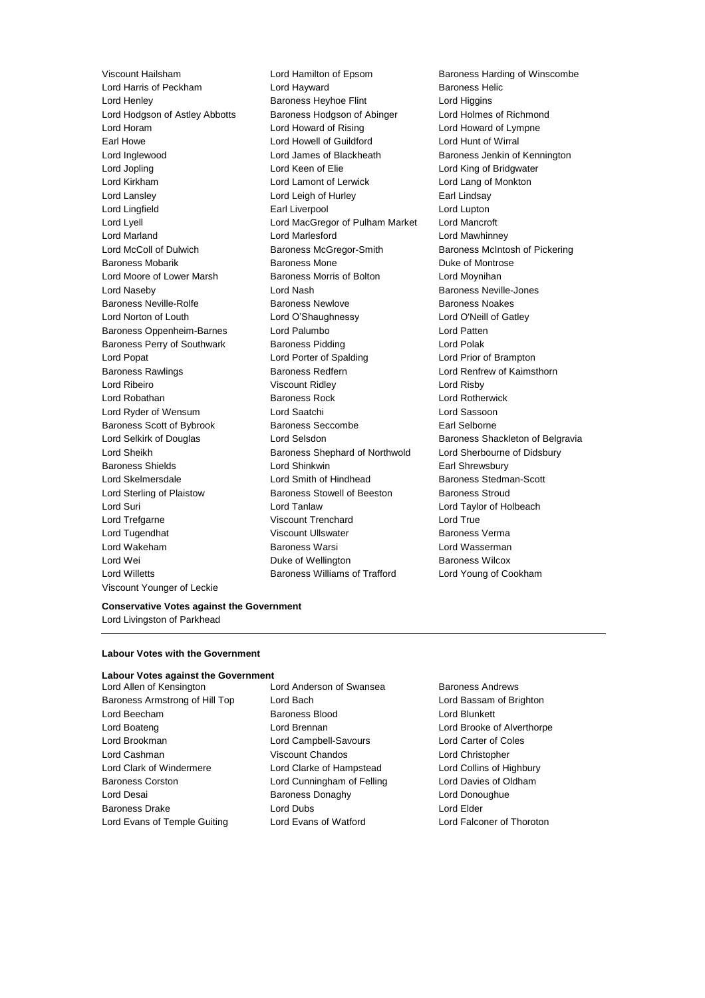Viscount Younger of Leckie

Viscount Hailsham **Lord Hamilton of Epsom** Baroness Harding of Winscombe Lord Harris of Peckham Lord Hayward Baroness Helic Lord Henley **Baroness Heyhoe Flint** Lord Higgins Lord Hodgson of Astley Abbotts Baroness Hodgson of Abinger Lord Holmes of Richmond Lord Horam Lord Howard of Rising Lord Howard of Lympne Earl Howe Lord Howell of Guildford Lord Hunt of Wirral Lord Inglewood Lord James of Blackheath Baroness Jenkin of Kennington Lord Jopling Lord Keen of Elie Lord King of Bridgwater Lord Kirkham Lord Lamont of Lerwick Lord Lang of Monkton Lord Lansley **Lord Leigh of Hurley Canadian Cord Leigh Cord Leigh of Hurley Canadian Cord Lindsay** Lord Lingfield Earl Liverpool Lord Lupton Lord Lyell Lord MacGregor of Pulham Market Lord Mancroft Lord Marland Lord Marlesford Lord Mawhinney Lord McColl of Dulwich Baroness McGregor-Smith Baroness McIntosh of Pickering Baroness Mobarik **Baroness Mone** Baroness Mone **Duke of Montrose** Lord Moore of Lower Marsh Baroness Morris of Bolton Lord Moynihan Lord Naseby **Lord Nash Baroness Neville-Jones** Lord Nash Baroness Neville-Jones Baroness Neville-Rolfe **Baroness Newlove** Baroness Newlove **Baroness Noakes** Lord Norton of Louth Lord O'Shaughnessy Lord O'Neill of Gatley Baroness Oppenheim-Barnes Lord Palumbo Lord Patten Baroness Perry of Southwark Baroness Pidding Controller Lord Polak Lord Popat Lord Porter of Spalding Lord Prior of Brampton Baroness Rawlings **Baroness Redfern Baroness Redfern Lord Renfrew of Kaimsthorn** Lord Ribeiro Viscount Ridley Lord Risby Lord Robathan **Baroness Rock** Lord Rotherwick Lord Ryder of Wensum Lord Saatchi Lord Sassoon Baroness Scott of Bybrook Baroness Seccombe Earl Selborne Lord Selkirk of Douglas **Lord Selsdon** Baroness Shackleton of Belgravia Lord Sheikh **Baroness Shephard of Northwold** Lord Sherbourne of Didsbury Baroness Shields **Lord Shinkwin** Earl Shrewsbury Lord Skelmersdale **Lord Smith of Hindhead** Baroness Stedman-Scott Lord Sterling of Plaistow Baroness Stowell of Beeston Baroness Stroud Lord Suri Lord Tanlaw Lord Taylor of Holbeach Lord Trefgarne **Viscount Trenchard** Lord True Lord Tugendhat Viscount Ullswater Baroness Verma Lord Wakeham Baroness Warsi Lord Wasserman Lord Wei **Duke of Wellington** Baroness Wilcox Lord Willetts Baroness Williams of Trafford Lord Young of Cookham

#### **Conservative Votes against the Government** Lord Livingston of Parkhead

#### **Labour Votes with the Government**

# **Labour Votes against the Government**

- Baroness Armstrong of Hill Top Lord Bach Lord Bassam of Brighton Lord Beecham Baroness Blood Cord Blunkett Lord Boateng Lord Brennan Lord Brooke of Alverthorpe Lord Brookman Lord Campbell-Savours Lord Carter of Coles Lord Cashman Viscount Chandos Lord Christopher Lord Clark of Windermere Lord Clarke of Hampstead Lord Collins of Highbury Baroness Corston Lord Cunningham of Felling Lord Davies of Oldham Lord Desai **Baroness Donaghy** Lord Donoughue Baroness Drake Lord Dubs Lord Elder Lord Evans of Temple Guiting Lord Evans of Watford Lord Falconer of Thoroton
- Lord Allen of Kensington **Lord Anderson of Swansea** Baroness Andrews
	-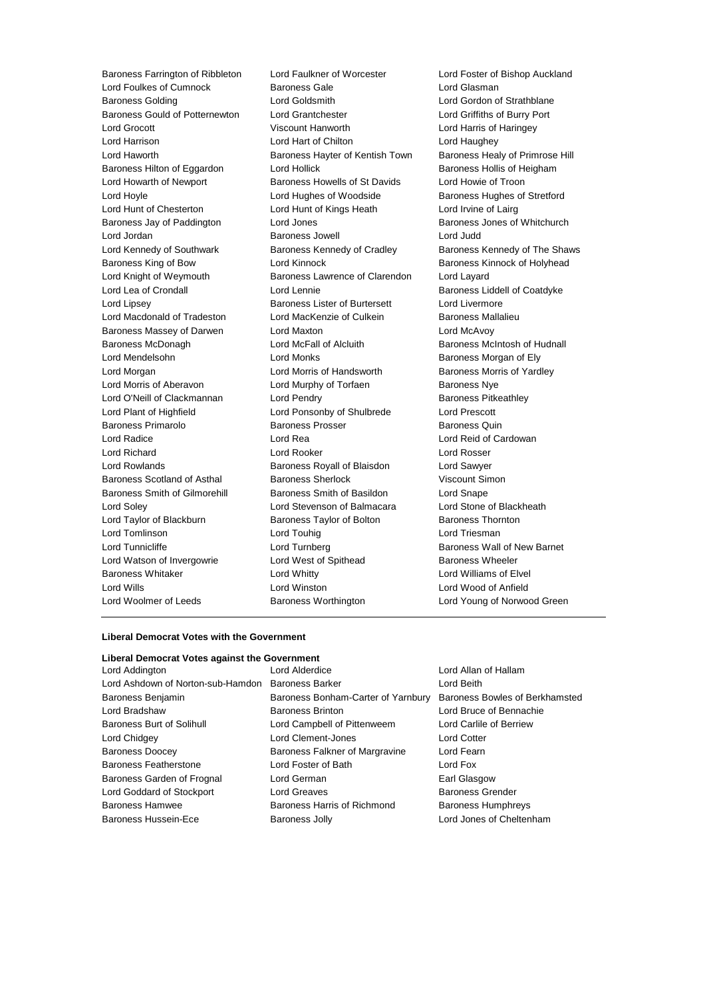Lord Foulkes of Cumnock **Baroness Gale Baroness Gale** Lord Glasman Baroness Golding Lord Goldsmith Lord Gordon of Strathblane Baroness Gould of Potternewton Lord Grantchester Lord Griffiths of Burry Port Lord Grocott Viscount Hanworth Lord Harris of Haringey Lord Harrison Lord Hart of Chilton Lord Haughey Lord Haworth Baroness Hayter of Kentish Town Baroness Healy of Primrose Hill Baroness Hilton of Eggardon Lord Hollick **Baroness Hollis of Heigham** Lord Howarth of Newport Baroness Howells of St Davids Lord Howie of Troon Lord Hoyle Lord Hughes of Woodside Baroness Hughes of Stretford Lord Hunt of Chesterton Lord Hunt of Kings Heath Lord Irvine of Lairg Baroness Jay of Paddington **Lord Jones Baroness Jones of Whitchurch** Baroness Jones of Whitchurch Lord Jordan Baroness Jowell Lord Judd Lord Kennedy of Southwark **Baroness Kennedy of Cradley** Baroness Kennedy of The Shaws Baroness King of Bow **Lord Kinnock** Baroness Kinnock **Baroness Algebrary** Lord Knight of Weymouth Baroness Lawrence of Clarendon Lord Layard Lord Lea of Crondall **Lord Lennie** Lord Lennie **Baroness Liddell of Coatdyke** Lord Lipsey Baroness Lister of Burtersett Lord Livermore Lord Macdonald of Tradeston Lord MacKenzie of Culkein Baroness Mallalieu Baroness Massey of Darwen Lord Maxton Lord McAvoy Baroness McDonagh Lord McFall of Alcluith Baroness McIntosh of Hudnall Lord Mendelsohn **Lord Monks Communist Communist Communist Communist Communist Communist Communist Communist Communist Communist Communist Communist Communist Communist Communist Communist Communist Communist Communist Co** Lord Morgan **Lord Morris of Handsworth** Baroness Morris of Yardley Lord Morris of Aberavon Lord Murphy of Torfaen Baroness Nye Lord O'Neill of Clackmannan Lord Pendry **Baroness Pitkeathley** Lord Plant of Highfield Lord Ponsonby of Shulbrede Lord Prescott Baroness Primarolo Baroness Prosser Baroness Quin Lord Radice Lord Rea Lord Reid of Cardowan Lord Richard Lord Rooker Lord Rosser Lord Rowlands Baroness Royall of Blaisdon Lord Sawyer Baroness Scotland of Asthal Baroness Sherlock Ciscount Simon Baroness Smith of Gilmorehill Baroness Smith of Basildon Lord Snape Lord Soley Lord Stevenson of Balmacara Lord Stone of Blackheath Lord Taylor of Blackburn Baroness Taylor of Bolton Baroness Thornton Lord Tomlinson **Lord Touhig Lord Touhig Lord Triesman** Lord Tunnicliffe **Lord Turnberg Lord Turnberg** Baroness Wall of New Barnet Lord Watson of Invergowrie **Lord West of Spithead** Baroness Wheeler Baroness Whitaker **Lord Whitty** Lord Whitty **Lord Williams of Elvel** Lord Wills Lord Winston Lord Wood of Anfield Lord Woolmer of Leeds Baroness Worthington Lord Young of Norwood Green

Baroness Farrington of Ribbleton Lord Faulkner of Worcester Lord Foster of Bishop Auckland

#### **Liberal Democrat Votes with the Government**

#### **Liberal Democrat Votes against the Government**

Lord Addington Lord Alderdice Lord Allan of Hallam Lord Ashdown of Norton-sub-Hamdon Baroness Barker **Lord Beith** Baroness Benjamin Baroness Bonham-Carter of Yarnbury Baroness Bowles of Berkhamsted Lord Bradshaw Baroness Brinton Lord Bruce of Bennachie Baroness Burt of Solihull Lord Campbell of Pittenweem Lord Carlile of Berriew Lord Chidgey Lord Clement-Jones Lord Cotter Baroness Doocey **Baroness Falkner of Margravine** Lord Fearn Baroness Featherstone Lord Foster of Bath Lord Fox Baroness Garden of Frognal Lord German **Earl Glasgow** Earl Glasgow Lord Goddard of Stockport Lord Greaves **Baroness Grender** Baroness Hamwee Baroness Harris of Richmond Baroness Humphreys Baroness Hussein-Ece Baroness Jolly Lord Jones of Cheltenham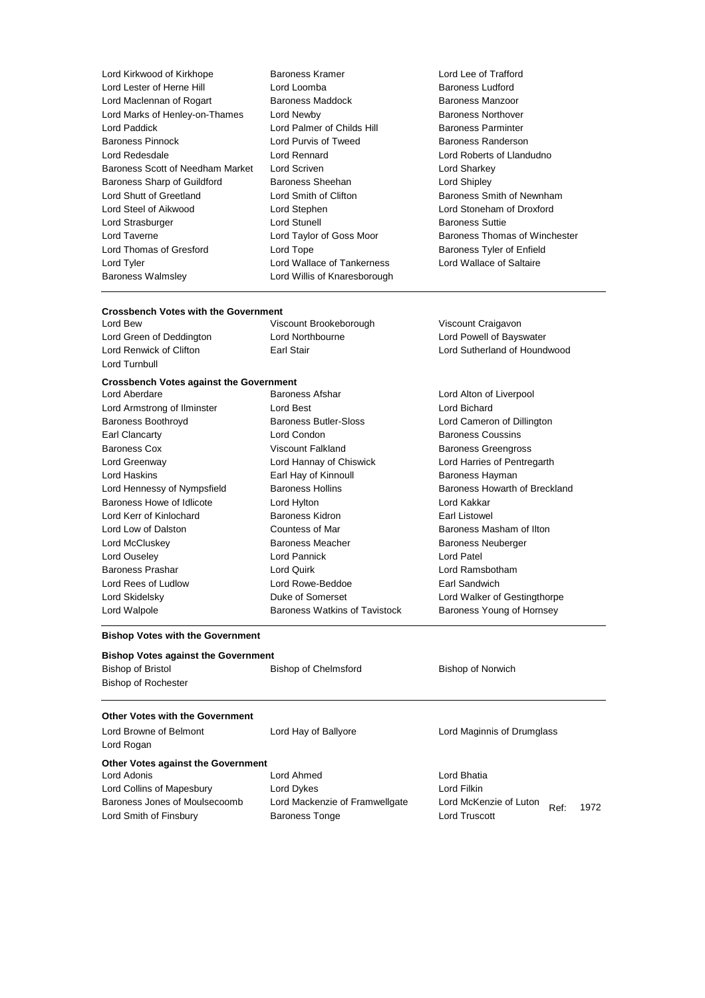| Lord Kirkwood of Kirkhope        |
|----------------------------------|
| Lord Lester of Herne Hill        |
| Lord Maclennan of Rogart         |
| Lord Marks of Henley-on-Thames   |
| Lord Paddick                     |
| Baroness Pinnock                 |
| Lord Redesdale                   |
| Baroness Scott of Needham Market |
| Baroness Sharp of Guildford      |
| Lord Shutt of Greetland          |
| Lord Steel of Aikwood            |
| Lord Strasburger                 |
| Lord Taverne                     |
| Lord Thomas of Gresford          |
| Lord Tyler                       |
| <b>Baroness Walmsley</b>         |

Baroness Kramer **Christian Contrafts Contrafts Contraft** Lord Lee of Trafford<br>
Lord Loomba<br>
Lord Loomba Baroness Maddock Lord Newby **Baroness Northover** Lord Palmer of Childs Hill Baroness Parminter Lord Purvis of Tweed Baroness Randerson Lord Rennard **Lord Roberts of Llandudno** Lord Scriven **Market Lord Sharkey** Baroness Sheehan **Contact Contact Contact Contact Contact Contact Contact Contact Contact Contact Contact Contact Contact Contact Contact Contact Contact Contact Contact Contact Contact Contact Contact Contact Contact Cont** Lord Stephen **Lord Stephen** Lord Stoneham of Droxford Lord Stunell **Baroness** Suttie Lord Tope **Baroness Tyler of Enfield** Lord Wallace of Tankerness Lord Wallace of Saltaire Lord Willis of Knaresborough

Baroness Ludford<br>Baroness Manzoor Lord Smith of Clifton **Baroness Smith of Newnham** Lord Taylor of Goss Moor Baroness Thomas of Winchester

#### **Crossbench Votes with the Government**

| Lord Bew                 |  |
|--------------------------|--|
| Lord Green of Deddington |  |
| Lord Renwick of Clifton  |  |
| Lord Turnbull            |  |

## **Crossbench Votes against the Government**<br>Lord Aberdare **Barone**

| Lord Armstrong of Ilminster |
|-----------------------------|
| <b>Baroness Boothroyd</b>   |
| Earl Clancarty              |
| <b>Baroness Cox</b>         |
| Lord Greenway               |
| Lord Haskins                |
| Lord Hennessy of Nympsfield |
| Baroness Howe of Idlicote   |
| Lord Kerr of Kinlochard     |
| Lord Low of Dalston         |
| Lord McCluskey              |
| Lord Ouseley                |
| <b>Baroness Prashar</b>     |
| Lord Rees of Ludlow         |
| Lord Skidelsky              |
| Lord Walpole                |
|                             |

Lord Condon **Baroness Coussins** Viscount Falkland Baroness Greengross Lord Hannay of Chiswick Lord Harries of Pentregarth Earl Hay of Kinnoull Baroness Hayman Lord Hylton **Lord Kakkar** Baroness Kidron **Earl Listowel** Countess of Mar **Baroness Masham of Ilton** Baroness Meacher **Baroness Neuberger** Baroness Neuberger Lord Pannick **Lord Patel** Baroness Prashar Lord Quirk Lord Ramsbotham Lord Rowe-Beddoe **Earl Sandwich** 

Viscount Brookeborough Viscount Craigavon Lord Northbourne **Lord Powell of Bayswater** Lord Renwick of Clifton Earl Stair Lord Sutherland of Houndwood

Baroness Afshar **Lord Alton of Liverpool** Lord Best **Lord Bichard** Baroness Butler-Sloss Lord Cameron of Dillington Baroness Hollins **Baroness Howarth of Breckland** Duke of Somerset **Lord Walker of Gestingthorpe** Baroness Watkins of Tavistock Baroness Young of Hornsey

#### **Bishop Votes with the Government**

#### **Bishop Votes against the Government**

| <b>Bishop of Bristol</b> | Bishop of Chelmsford | <b>Bishop of Norwich</b> |
|--------------------------|----------------------|--------------------------|
| Bishop of Rochester      |                      |                          |

### **Other Votes with the Government**

| Lord Browne of Belmont                    | Lord Hay of Ballyore           | Lord Maginnis of Drumglass             |
|-------------------------------------------|--------------------------------|----------------------------------------|
| Lord Rogan                                |                                |                                        |
| <b>Other Votes against the Government</b> |                                |                                        |
| Lord Adonis                               | Lord Ahmed                     | Lord Bhatia                            |
| Lord Collins of Mapesbury                 | Lord Dykes                     | Lord Filkin                            |
| Baroness Jones of Moulsecoomb             | Lord Mackenzie of Framwellgate | Lord McKenzie of Luton<br>1972<br>Ref: |
| Lord Smith of Finsbury                    | <b>Baroness Tonge</b>          | Lord Truscott                          |